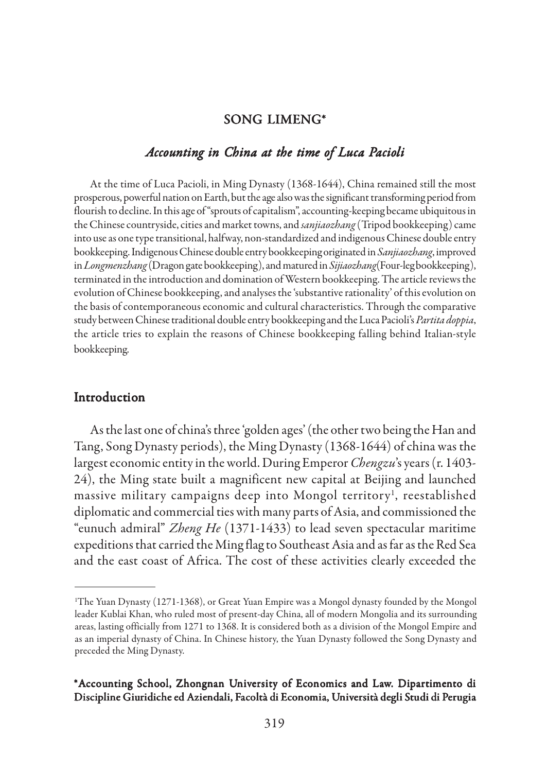### SONG LIMENG\*

#### *Accounting in China at the time of Luca Pacioli*

At the time of Luca Pacioli, in Ming Dynasty (1368-1644), China remained still the most prosperous, powerful nation on Earth, but the age also was the significant transforming period from flourish to decline. In this age of "sprouts of capitalism", accounting-keeping became ubiquitous in the Chinese countryside, cities and market towns, and *sanjiaozhang* (Tripod bookkeeping) came into use as one type transitional, halfway, non-standardized and indigenous Chinese double entry bookkeeping. Indigenous Chinese double entry bookkeeping originated in *Sanjiaozhang*, improved in *Longmenzhang* (Dragon gate bookkeeping), and matured in *Sijiaozhang*(Four-leg bookkeeping), terminated in the introduction and domination of Western bookkeeping. The article reviews the evolution of Chinese bookkeeping, and analyses the 'substantive rationality' of this evolution on the basis of contemporaneous economic and cultural characteristics. Through the comparative study between Chinese traditional double entry bookkeeping and the Luca Pacioli's *Partita doppia*, the article tries to explain the reasons of Chinese bookkeeping falling behind Italian-style bookkeeping.

### Introduction

As the last one of china's three 'golden ages' (the other two being the Han and Tang, Song Dynasty periods), the Ming Dynasty (1368-1644) of china was the largest economic entity in the world. During Emperor *Chengzu*'s years (r. 1403- 24), the Ming state built a magnificent new capital at Beijing and launched massive military campaigns deep into Mongol territory<sup>1</sup>, reestablished diplomatic and commercial ties with many parts of Asia, and commissioned the "eunuch admiral" *Zheng He* (1371-1433) to lead seven spectacular maritime expeditions that carried the Ming flag to Southeast Asia and as far as the Red Sea and the east coast of Africa. The cost of these activities clearly exceeded the

<sup>1</sup> The Yuan Dynasty (1271-1368), or Great Yuan Empire was a Mongol dynasty founded by the Mongol leader Kublai Khan, who ruled most of present-day China, all of modern Mongolia and its surrounding areas, lasting officially from 1271 to 1368. It is considered both as a division of the Mongol Empire and as an imperial dynasty of China. In Chinese history, the Yuan Dynasty followed the Song Dynasty and preceded the Ming Dynasty.

<sup>\*</sup>Accounting School, Zhongnan University of Economics and Law. Dipartimento di Discipline Giuridiche ed Aziendali, Facoltà di Economia, Università degli Studi di Perugia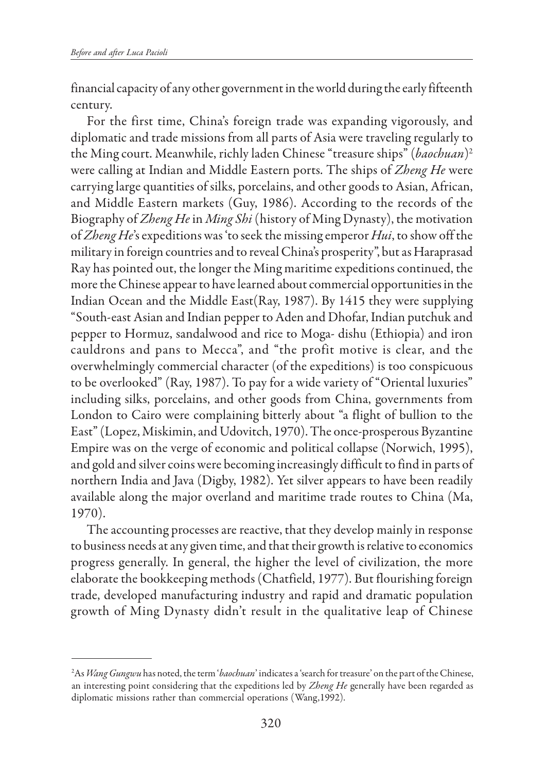financial capacity of any other government in the world during the early fifteenth century.

For the first time, China's foreign trade was expanding vigorously, and diplomatic and trade missions from all parts of Asia were traveling regularly to the Ming court. Meanwhile, richly laden Chinese "treasure ships" (*baochuan*)2 were calling at Indian and Middle Eastern ports. The ships of *Zheng He* were carrying large quantities of silks, porcelains, and other goods to Asian, African, and Middle Eastern markets (Guy, 1986). According to the records of the Biography of *Zheng He* in *Ming Shi* (history of Ming Dynasty), the motivation of *Zheng He*'s expeditions was 'to seek the missing emperor *Hui*, to show off the military in foreign countries and to reveal China's prosperity", but as Haraprasad Ray has pointed out, the longer the Ming maritime expeditions continued, the more the Chinese appear to have learned about commercial opportunities in the Indian Ocean and the Middle East(Ray, 1987). By 1415 they were supplying "South-east Asian and Indian pepper to Aden and Dhofar, Indian putchuk and pepper to Hormuz, sandalwood and rice to Moga- dishu (Ethiopia) and iron cauldrons and pans to Mecca", and "the profit motive is clear, and the overwhelmingly commercial character (of the expeditions) is too conspicuous to be overlooked" (Ray, 1987). To pay for a wide variety of "Oriental luxuries" including silks, porcelains, and other goods from China, governments from London to Cairo were complaining bitterly about "a flight of bullion to the East" (Lopez, Miskimin, and Udovitch, 1970). The once-prosperous Byzantine Empire was on the verge of economic and political collapse (Norwich, 1995), and gold and silver coins were becoming increasingly difficult to find in parts of northern India and Java (Digby, 1982). Yet silver appears to have been readily available along the major overland and maritime trade routes to China (Ma, 1970).

The accounting processes are reactive, that they develop mainly in response to business needs at any given time, and that their growth is relative to economics progress generally. In general, the higher the level of civilization, the more elaborate the bookkeeping methods (Chatfield, 1977). But flourishing foreign trade, developed manufacturing industry and rapid and dramatic population growth of Ming Dynasty didn't result in the qualitative leap of Chinese

<sup>2</sup> As *Wang Gungwu* has noted, the term '*baochuan*' indicates a 'search for treasure' on the part of the Chinese, an interesting point considering that the expeditions led by *Zheng He* generally have been regarded as diplomatic missions rather than commercial operations (Wang,1992).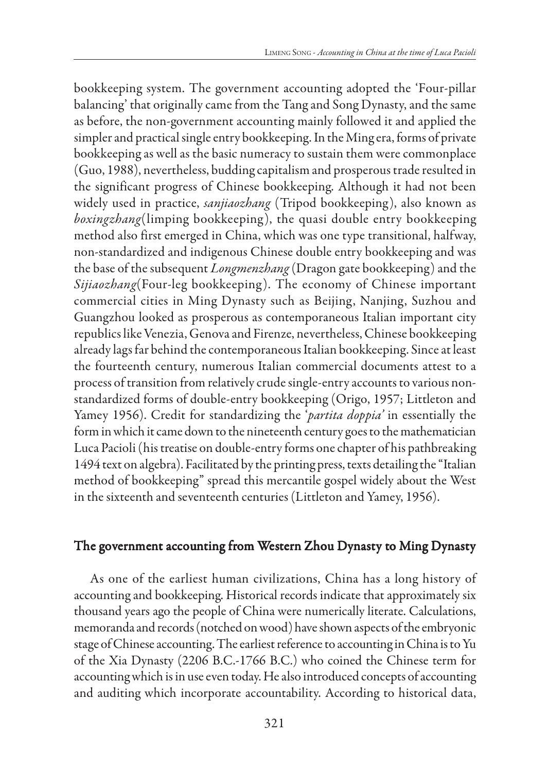bookkeeping system. The government accounting adopted the 'Four-pillar balancing' that originally came from the Tang and Song Dynasty, and the same as before, the non-government accounting mainly followed it and applied the simpler and practical single entry bookkeeping. In the Ming era, forms of private bookkeeping as well as the basic numeracy to sustain them were commonplace (Guo, 1988), nevertheless, budding capitalism and prosperous trade resulted in the significant progress of Chinese bookkeeping. Although it had not been widely used in practice, *sanjiaozhang* (Tripod bookkeeping), also known as *boxingzhang*(limping bookkeeping ), the quasi double entry bookkeeping method also first emerged in China, which was one type transitional, halfway, non-standardized and indigenous Chinese double entry bookkeeping and was the base of the subsequent *Longmenzhang* (Dragon gate bookkeeping) and the *Sijiaozhang*(Four-leg bookkeeping). The economy of Chinese important commercial cities in Ming Dynasty such as Beijing, Nanjing, Suzhou and Guangzhou looked as prosperous as contemporaneous Italian important city republics like Venezia, Genova and Firenze, nevertheless, Chinese bookkeeping already lags far behind the contemporaneous Italian bookkeeping. Since at least the fourteenth century, numerous Italian commercial documents attest to a process of transition from relatively crude single-entry accounts to various nonstandardized forms of double-entry bookkeeping (Origo, 1957; Littleton and Yamey 1956). Credit for standardizing the '*partita doppia'* in essentially the form in which it came down to the nineteenth century goes to the mathematician Luca Pacioli (his treatise on double-entry forms one chapter of his pathbreaking 1494 text on algebra). Facilitated by the printing press, texts detailing the "Italian method of bookkeeping" spread this mercantile gospel widely about the West in the sixteenth and seventeenth centuries (Littleton and Yamey, 1956).

### The government accounting from Western Zhou Dynasty to Ming Dynasty

As one of the earliest human civilizations, China has a long history of accounting and bookkeeping. Historical records indicate that approximately six thousand years ago the people of China were numerically literate. Calculations, memoranda and records (notched on wood) have shown aspects of the embryonic stage of Chinese accounting. The earliest reference to accounting in China is to Yu of the Xia Dynasty (2206 B.C.-1766 B.C.) who coined the Chinese term for accounting which is in use even today. He also introduced concepts of accounting and auditing which incorporate accountability. According to historical data,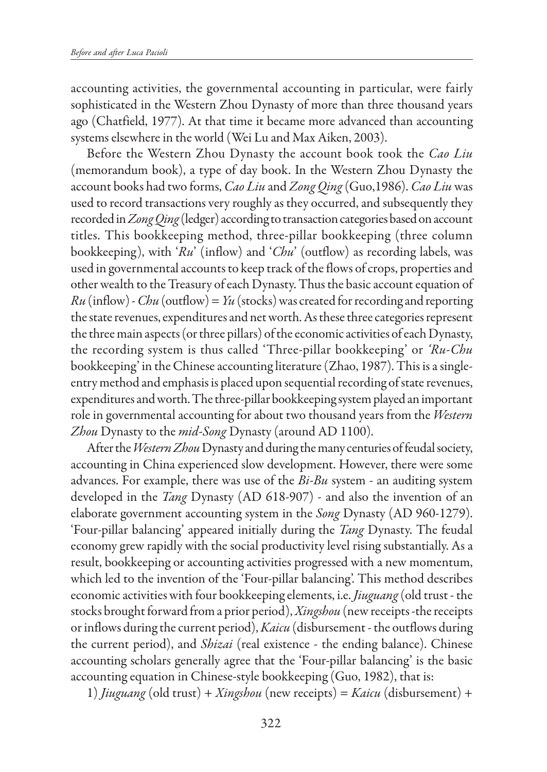accounting activities, the governmental accounting in particular, were fairly sophisticated in the Western Zhou Dynasty of more than three thousand years ago (Chatfield, 1977). At that time it became more advanced than accounting systems elsewhere in the world (Wei Lu and Max Aiken, 2003).

Before the Western Zhou Dynasty the account book took the *Cao Liu* (memorandum book), a type of day book. In the Western Zhou Dynasty the account books had two forms, *Cao Liu* and *Zong Qing* (Guo,1986). *Cao Liu* was used to record transactions very roughly as they occurred, and subsequently they recorded in *Zong Qing* (ledger) according to transaction categories based on account titles. This bookkeeping method, three-pillar bookkeeping (three column bookkeeping), with '*Ru*' (inflow) and '*Chu*' (outflow) as recording labels, was used in governmental accounts to keep track of the flows of crops, properties and other wealth to the Treasury of each Dynasty. Thus the basic account equation of  $Ru$  (inflow) - *Chu* (outflow) =  $Yu$  (stocks) was created for recording and reporting the state revenues, expenditures and net worth. As these three categories represent the three main aspects (or three pillars) of the economic activities of each Dynasty, the recording system is thus called 'Three-pillar bookkeeping' or *'Ru-Chu* bookkeeping' in the Chinese accounting literature (Zhao, 1987). This is a singleentry method and emphasis is placed upon sequential recording of state revenues, expenditures and worth. The three-pillar bookkeeping system played an important role in governmental accounting for about two thousand years from the *Western Zhou* Dynasty to the *mid-Song* Dynasty (around AD 1100).

After the *Western Zhou* Dynasty and during the many centuries of feudal society, accounting in China experienced slow development. However, there were some advances. For example, there was use of the *Bi-Bu* system - an auditing system developed in the *Tang* Dynasty (AD 618-907) - and also the invention of an elaborate government accounting system in the *Song* Dynasty (AD 960-1279). 'Four-pillar balancing' appeared initially during the *Tang* Dynasty. The feudal economy grew rapidly with the social productivity level rising substantially. As a result, bookkeeping or accounting activities progressed with a new momentum, which led to the invention of the 'Four-pillar balancing'. This method describes economic activities with four bookkeeping elements, i.e. *Jiuguang* (old trust - the stocks brought forward from a prior period), *Xingshou* (new receipts -the receipts or inflows during the current period), *Kaicu* (disbursement - the outflows during the current period), and *Shizai* (real existence - the ending balance). Chinese accounting scholars generally agree that the 'Four-pillar balancing' is the basic accounting equation in Chinese-style bookkeeping (Guo, 1982), that is:

1) *Jiuguang* (old trust) + *Xingshou* (new receipts) = *Kaicu* (disbursement) +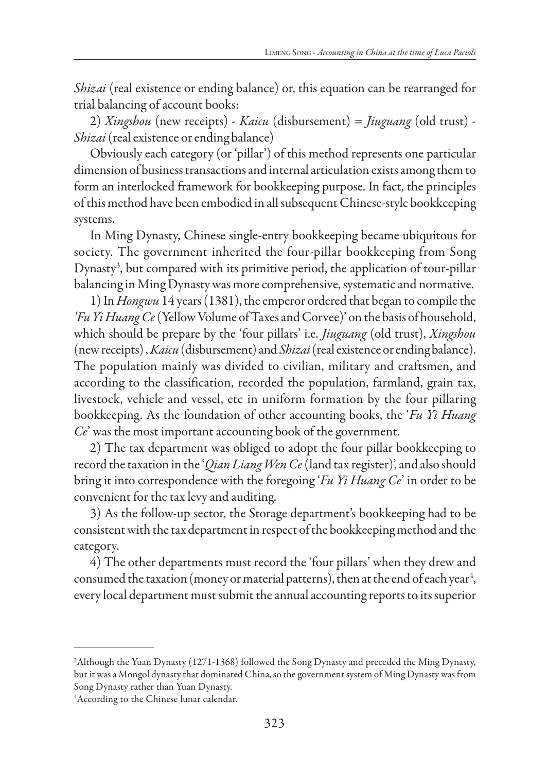*Shizai* (real existence or ending balance) or, this equation can be rearranged for trial balancing of account books:

2) *Xingshou* (new receipts) - *Kaicu* (disbursement) *= Jiuguang* (old trust) - *Shizai* (real existence or ending balance)

Obviously each category (or 'pillar') of this method represents one particular dimension of business transactions and internal articulation exists among them to form an interlocked framework for bookkeeping purpose. In fact, the principles of this method have been embodied in all subsequent Chinese-style bookkeeping systems.

In Ming Dynasty, Chinese single-entry bookkeeping became ubiquitous for society. The government inherited the four-pillar bookkeeping from Song Dynasty3 , but compared with its primitive period, the application of tour-pillar balancing in Ming Dynasty was more comprehensive, systematic and normative.

1) In *Hongwu* 14 years (1381), the emperor ordered that began to compile the *'Fu Yi Huang Ce* (Yellow Volume of Taxes and Corvee)' on the basis of household, which should be prepare by the 'four pillars' i.e. *Jiuguang* (old trust), *Xingshou* (new receipts) , *Kaicu* (disbursement) and *Shizai* (real existence or ending balance). The population mainly was divided to civilian, military and craftsmen, and according to the classification, recorded the population, farmland, grain tax, livestock, vehicle and vessel, etc in uniform formation by the four pillaring bookkeeping. As the foundation of other accounting books, the '*Fu Yi Huang Ce*' was the most important accounting book of the government.

2) The tax department was obliged to adopt the four pillar bookkeeping to record the taxation in the '*Qian Liang Wen Ce* (land tax register)', and also should bring it into correspondence with the foregoing '*Fu Yi Huang Ce*' in order to be convenient for the tax levy and auditing.

3) As the follow-up sector, the Storage department's bookkeeping had to be consistent with the tax department in respect of the bookkeeping method and the category.

4) The other departments must record the 'four pillars' when they drew and consumed the taxation (money or material patterns), then at the end of each year $^{\rm 4}$ , every local department must submit the annual accounting reports to its superior

<sup>3</sup> Although the Yuan Dynasty (1271-1368) followed the Song Dynasty and preceded the Ming Dynasty, but it was a Mongol dynasty that dominated China, so the government system of Ming Dynasty was from Song Dynasty rather than Yuan Dynasty.

<sup>4</sup> According to the Chinese lunar calendar.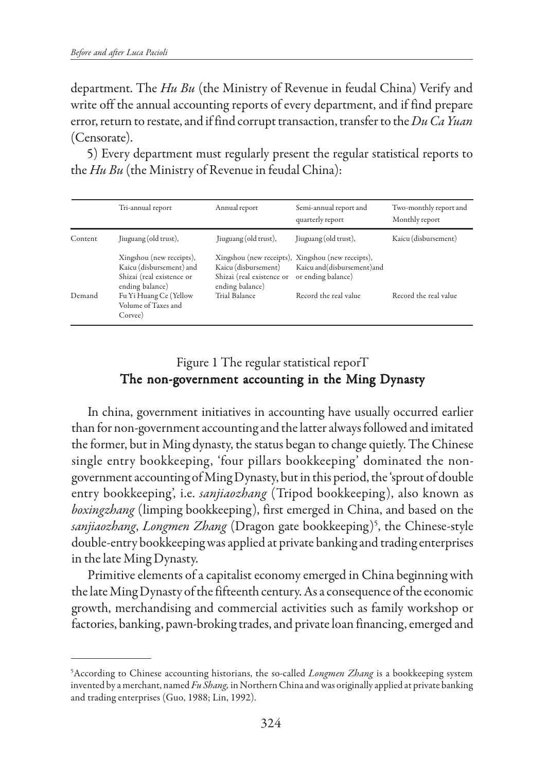department. The *Hu Bu* (the Ministry of Revenue in feudal China) Verify and write off the annual accounting reports of every department, and if find prepare error, return to restate, and if find corrupt transaction, transfer to the *Du Ca Yuan* (Censorate).

5) Every department must regularly present the regular statistical reports to the *Hu Bu* (the Ministry of Revenue in feudal China):

|         | Tri-annual report                                                                                    | Annual report                                                        | Semi-annual report and<br>quarterly report                                                              | Two-monthly report and<br>Monthly report |
|---------|------------------------------------------------------------------------------------------------------|----------------------------------------------------------------------|---------------------------------------------------------------------------------------------------------|------------------------------------------|
| Content | Jiuguang (old trust),                                                                                | Jiuguang (old trust),                                                | Jiuguang (old trust),                                                                                   | Kaicu (disbursement)                     |
|         | Xingshou (new receipts),<br>Kaicu (disbursement) and<br>Shizai (real existence or<br>ending balance) | Kaicu (disbursement)<br>Shizai (real existence or<br>ending balance) | Xingshou (new receipts), Xingshou (new receipts),<br>Kaicu and (disbursement) and<br>or ending balance) |                                          |
| Demand  | Fu Yi Huang Ce (Yellow<br>Volume of Taxes and<br>Corvee)                                             | Trial Balance                                                        | Record the real value                                                                                   | Record the real value                    |

## Figure 1 The regular statistical reporT The non-government accounting in the Ming Dynasty

In china, government initiatives in accounting have usually occurred earlier than for non-government accounting and the latter always followed and imitated the former, but in Ming dynasty, the status began to change quietly. The Chinese single entry bookkeeping, 'four pillars bookkeeping' dominated the nongovernment accounting of Ming Dynasty, but in this period, the 'sprout of double entry bookkeeping', i.e. *sanjiaozhang* (Tripod bookkeeping), also known as *boxingzhang* (limping bookkeeping), first emerged in China, and based on the *sanjiaozhang*, *Longmen Zhang* (Dragon gate bookkeeping)5 , the Chinese-style double-entry bookkeeping was applied at private banking and trading enterprises in the late Ming Dynasty.

Primitive elements of a capitalist economy emerged in China beginning with the late Ming Dynasty of the fifteenth century. As a consequence of the economic growth, merchandising and commercial activities such as family workshop or factories, banking, pawn-broking trades, and private loan financing, emerged and

<sup>5</sup> According to Chinese accounting historians, the so-called *Longmen Zhang* is a bookkeeping system invented by a merchant, named *Fu Shang,* in Northern China and was originally applied at private banking and trading enterprises (Guo, 1988; Lin, 1992).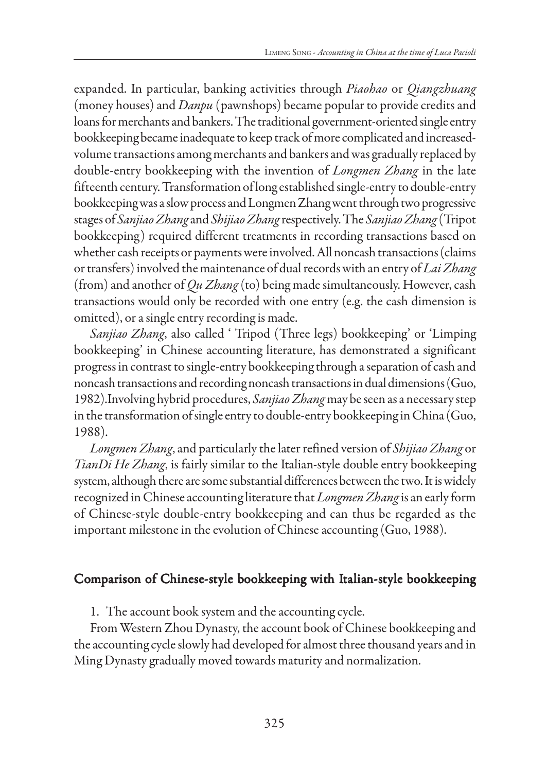expanded. In particular, banking activities through *Piaohao* or *Qiangzhuang* (money houses) and *Danpu* (pawnshops) became popular to provide credits and loans for merchants and bankers. The traditional government-oriented single entry bookkeeping became inadequate to keep track of more complicated and increasedvolume transactions among merchants and bankers and was gradually replaced by double-entry bookkeeping with the invention of *Longmen Zhang* in the late fifteenth century. Transformation of long established single-entry to double-entry bookkeeping was a slow process and Longmen Zhang went through two progressive stages of *Sanjiao Zhang* and *Shijiao Zhang* respectively. The *Sanjiao Zhang* (Tripot bookkeeping) required different treatments in recording transactions based on whether cash receipts or payments were involved. All noncash transactions (claims or transfers) involved the maintenance of dual records with an entry of *Lai Zhang* (from) and another of *Qu Zhang* (to) being made simultaneously. However, cash transactions would only be recorded with one entry (e.g. the cash dimension is omitted), or a single entry recording is made.

*Sanjiao Zhang*, also called ' Tripod (Three legs) bookkeeping' or 'Limping bookkeeping' in Chinese accounting literature, has demonstrated a significant progress in contrast to single-entry bookkeeping through a separation of cash and noncash transactions and recording noncash transactions in dual dimensions (Guo, 1982).Involving hybrid procedures, *Sanjiao Zhang* may be seen as a necessary step in the transformation of single entry to double-entry bookkeeping in China (Guo, 1988).

*Longmen Zhang*, and particularly the later refined version of *Shijiao Zhang* or *TianDi He Zhang*, is fairly similar to the Italian-style double entry bookkeeping system, although there are some substantial differences between the two. It is widely recognized in Chinese accounting literature that *Longmen Zhang* is an early form of Chinese-style double-entry bookkeeping and can thus be regarded as the important milestone in the evolution of Chinese accounting (Guo, 1988).

### Comparison of Chinese-style bookkeeping with Italian-style bookkeeping

1. The account book system and the accounting cycle.

From Western Zhou Dynasty, the account book of Chinese bookkeeping and the accounting cycle slowly had developed for almost three thousand years and in Ming Dynasty gradually moved towards maturity and normalization.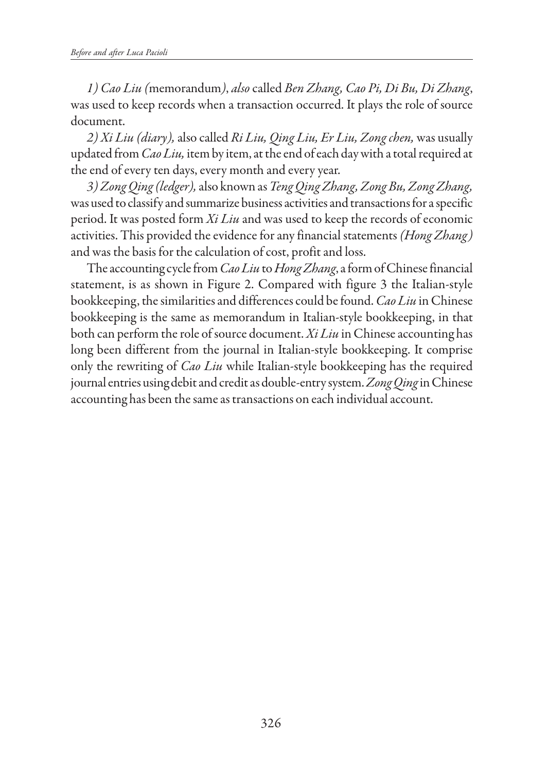*1) Cao Liu (*memorandum*)*, *also* called *Ben Zhang, Cao Pi, Di Bu, Di Zhang*, was used to keep records when a transaction occurred. It plays the role of source document.

*2) Xi Liu (diary),* also called *Ri Liu, Qing Liu, Er Liu, Zong chen,* was usually updated from *Cao Liu,* item by item, at the end of each day with a total required at the end of every ten days, every month and every year.

*3) Zong Qing (ledger),* also known as *Teng Qing Zhang, Zong Bu, Zong Zhang,* was used to classify and summarize business activities and transactions for a specific period. It was posted form *Xi Liu* and was used to keep the records of economic activities. This provided the evidence for any financial statements *(Hong Zhang)* and was the basis for the calculation of cost, profit and loss.

The accounting cycle from *Cao Liu* to *Hong Zhang*, a form of Chinese financial statement, is as shown in Figure 2. Compared with figure 3 the Italian-style bookkeeping, the similarities and differences could be found. *Cao Liu* in Chinese bookkeeping is the same as memorandum in Italian-style bookkeeping, in that both can perform the role of source document. *Xi Liu* in Chinese accounting has long been different from the journal in Italian-style bookkeeping. It comprise only the rewriting of *Cao Liu* while Italian-style bookkeeping has the required journal entries using debit and credit as double-entry system. *Zong Qing* in Chinese accounting has been the same as transactions on each individual account.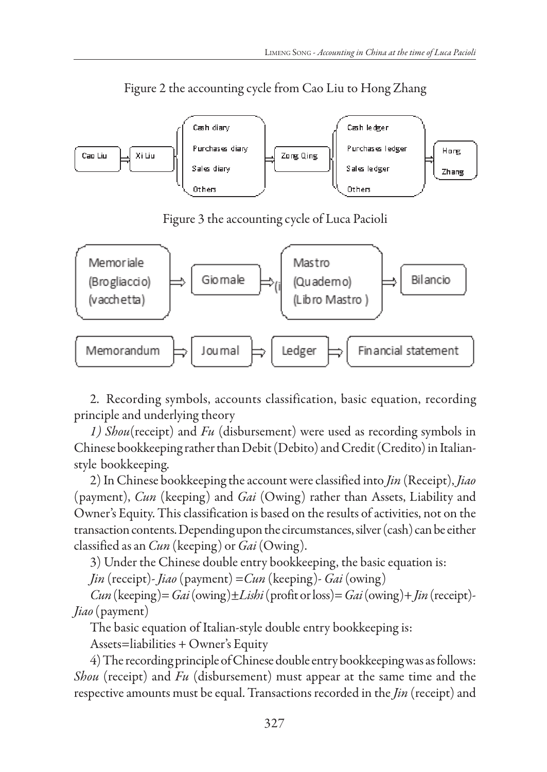

Figure 2 the accounting cycle from Cao Liu to Hong Zhang

Figure 3 the accounting cycle of Luca Pacioli



2. Recording symbols, accounts classification, basic equation, recording principle and underlying theory

*1) Shou*(receipt) and *Fu* (disbursement) were used as recording symbols in Chinese bookkeeping rather than Debit (Debito) and Credit (Credito) in Italianstyle bookkeeping.

2) In Chinese bookkeeping the account were classified into *Jin* (Receipt), *Jiao* (payment), *Cun* (keeping) and *Gai* (Owing) rather than Assets, Liability and Owner's Equity. This classification is based on the results of activities, not on the transaction contents. Depending upon the circumstances, silver (cash) can be either classified as an *Cun* (keeping) or *Gai* (Owing).

3) Under the Chinese double entry bookkeeping, the basic equation is:

*Jin* (receipt)- *Jiao* (payment) =*Cun* (keeping)- *Gai* (owing)

*Cun* (keeping)= *Gai* (owing)±*Lishi* (profit or loss)= *Gai* (owing)+ *Jin* (receipt)- *Jiao* (payment)

The basic equation of Italian-style double entry bookkeeping is:

Assets=liabilities + Owner's Equity

4) The recording principle of Chinese double entry bookkeeping was as follows: *Shou* (receipt) and *Fu* (disbursement) must appear at the same time and the respective amounts must be equal. Transactions recorded in the *Jin* (receipt) and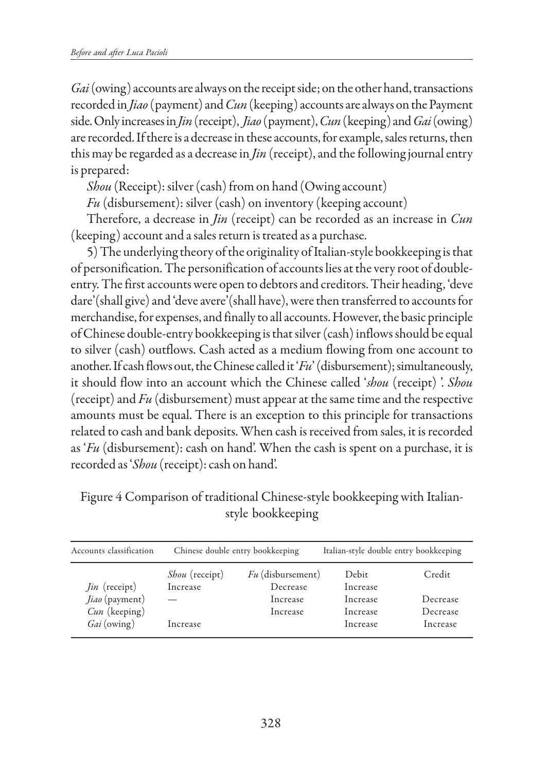*Gai* (owing) accounts are always on the receipt side; on the other hand, transactions recorded in *Jiao* (payment) and *Cun* (keeping) accounts are always on the Payment side. Only increases in *Jin* (receipt), *Jiao* (payment), *Cun* (keeping) and *Gai* (owing) are recorded. If there is a decrease in these accounts, for example, sales returns, then this may be regarded as a decrease in *Jin* (receipt), and the following journal entry is prepared:

*Shou* (Receipt): silver (cash) from on hand (Owing account)

*Fu* (disbursement): silver (cash) on inventory (keeping account)

Therefore, a decrease in *Jin* (receipt) can be recorded as an increase in *Cun* (keeping) account and a sales return is treated as a purchase.

5) The underlying theory of the originality of Italian-style bookkeeping is that of personification. The personification of accounts lies at the very root of doubleentry. The first accounts were open to debtors and creditors. Their heading, 'deve dare'(shall give) and 'deve avere'(shall have), were then transferred to accounts for merchandise, for expenses, and finally to all accounts. However, the basic principle of Chinese double-entry bookkeeping is that silver (cash) inflows should be equal to silver (cash) outflows. Cash acted as a medium flowing from one account to another. If cash flows out, the Chinese called it '*Fu*' (disbursement); simultaneously, it should flow into an account which the Chinese called '*shou* (receipt) '. *Shou* (receipt) and *Fu* (disbursement) must appear at the same time and the respective amounts must be equal. There is an exception to this principle for transactions related to cash and bank deposits. When cash is received from sales, it is recorded as '*Fu* (disbursement): cash on hand'. When the cash is spent on a purchase, it is recorded as '*Shou* (receipt): cash on hand'.

| Accounts classification                | Chinese double entry bookkeeping  |                                 | Italian-style double entry bookkeeping |          |
|----------------------------------------|-----------------------------------|---------------------------------|----------------------------------------|----------|
|                                        | <i>Shou</i> (receipt)<br>Increase | $Fu$ (disbursement)<br>Decrease | Debit<br>Increase                      | Credit   |
| <i>Jin</i> (receipt)<br>Jiao (payment) |                                   | Increase                        | Increase                               | Decrease |
| $Cun$ (keeping)                        |                                   | Increase                        | Increase                               | Decrease |
| Gai (owing)                            | Increase                          |                                 | Increase                               | Increase |

Figure 4 Comparison of traditional Chinese-style bookkeeping with Italianstyle bookkeeping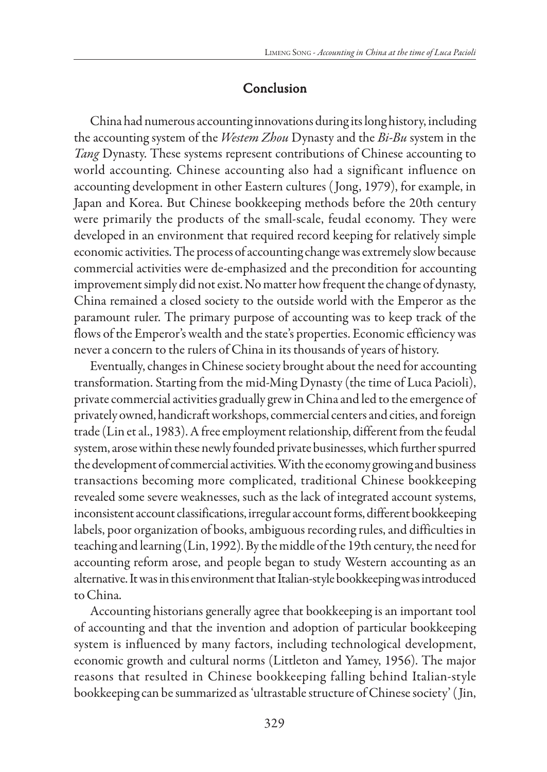## Conclusion

China had numerous accounting innovations during its long history, including the accounting system of the *Westem Zhou* Dynasty and the *Bi-Bu* system in the *Tang* Dynasty. These systems represent contributions of Chinese accounting to world accounting. Chinese accounting also had a significant influence on accounting development in other Eastern cultures ( Jong, 1979), for example, in Japan and Korea. But Chinese bookkeeping methods before the 20th century were primarily the products of the small-scale, feudal economy. They were developed in an environment that required record keeping for relatively simple economic activities. The process of accounting change was extremely slow because commercial activities were de-emphasized and the precondition for accounting improvement simply did not exist. No matter how frequent the change of dynasty, China remained a closed society to the outside world with the Emperor as the paramount ruler. The primary purpose of accounting was to keep track of the flows of the Emperor's wealth and the state's properties. Economic efficiency was never a concern to the rulers of China in its thousands of years of history.

Eventually, changes in Chinese society brought about the need for accounting transformation. Starting from the mid-Ming Dynasty (the time of Luca Pacioli), private commercial activities gradually grew in China and led to the emergence of privately owned, handicraft workshops, commercial centers and cities, and foreign trade (Lin et al., 1983). A free employment relationship, different from the feudal system, arose within these newly founded private businesses, which further spurred the development of commercial activities. With the economy growing and business transactions becoming more complicated, traditional Chinese bookkeeping revealed some severe weaknesses, such as the lack of integrated account systems, inconsistent account classifications, irregular account forms, different bookkeeping labels, poor organization of books, ambiguous recording rules, and difficulties in teaching and learning (Lin, 1992). By the middle of the 19th century, the need for accounting reform arose, and people began to study Western accounting as an alternative. It was in this environment that Italian-style bookkeeping was introduced to China.

Accounting historians generally agree that bookkeeping is an important tool of accounting and that the invention and adoption of particular bookkeeping system is influenced by many factors, including technological development, economic growth and cultural norms (Littleton and Yamey, 1956). The major reasons that resulted in Chinese bookkeeping falling behind Italian-style bookkeeping can be summarized as 'ultrastable structure of Chinese society' ( Jin,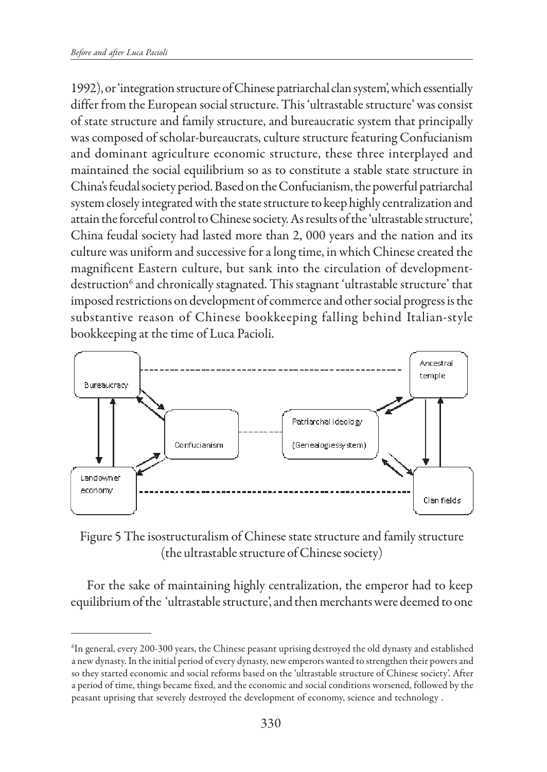1992), or 'integration structure of Chinese patriarchal clan system', which essentially differ from the European social structure. This 'ultrastable structure' was consist of state structure and family structure, and bureaucratic system that principally was composed of scholar-bureaucrats, culture structure featuring Confucianism and dominant agriculture economic structure, these three interplayed and maintained the social equilibrium so as to constitute a stable state structure in China's feudal society period. Based on the Confucianism, the powerful patriarchal system closely integrated with the state structure to keep highly centralization and attain the forceful control to Chinese society. As results of the 'ultrastable structure', China feudal society had lasted more than 2, 000 years and the nation and its culture was uniform and successive for a long time, in which Chinese created the magnificent Eastern culture, but sank into the circulation of developmentdestruction<sup>6</sup> and chronically stagnated. This stagnant 'ultrastable structure' that imposed restrictions on development of commerce and other social progress is the substantive reason of Chinese bookkeeping falling behind Italian-style bookkeeping at the time of Luca Pacioli.



Figure 5 The isostructuralism of Chinese state structure and family structure (the ultrastable structure of Chinese society)

For the sake of maintaining highly centralization, the emperor had to keep equilibrium of the 'ultrastable structure', and then merchants were deemed to one

<sup>6</sup> In general, every 200-300 years, the Chinese peasant uprising destroyed the old dynasty and established a new dynasty. In the initial period of every dynasty, new emperors wanted to strengthen their powers and so they started economic and social reforms based on the 'ultrastable structure of Chinese society'. After a period of time, things became fixed, and the economic and social conditions worsened, followed by the peasant uprising that severely destroyed the development of economy, science and technology .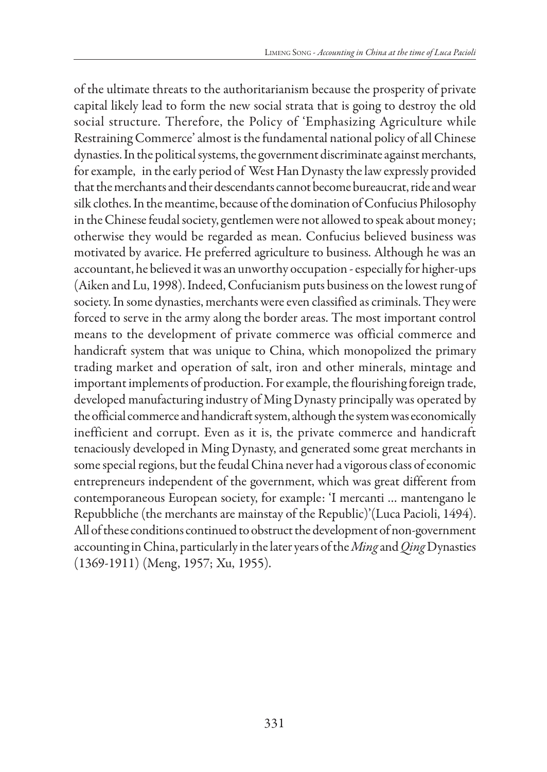of the ultimate threats to the authoritarianism because the prosperity of private capital likely lead to form the new social strata that is going to destroy the old social structure. Therefore, the Policy of 'Emphasizing Agriculture while Restraining Commerce' almost is the fundamental national policy of all Chinese dynasties. In the political systems, the government discriminate against merchants, for example, in the early period of West Han Dynasty the law expressly provided that the merchants and their descendants cannot become bureaucrat, ride and wear silk clothes. In the meantime, because of the domination of Confucius Philosophy in the Chinese feudal society, gentlemen were not allowed to speak about money; otherwise they would be regarded as mean. Confucius believed business was motivated by avarice. He preferred agriculture to business. Although he was an accountant, he believed it was an unworthy occupation - especially for higher-ups (Aiken and Lu, 1998). Indeed, Confucianism puts business on the lowest rung of society. In some dynasties, merchants were even classified as criminals. They were forced to serve in the army along the border areas. The most important control means to the development of private commerce was official commerce and handicraft system that was unique to China, which monopolized the primary trading market and operation of salt, iron and other minerals, mintage and important implements of production. For example, the flourishing foreign trade, developed manufacturing industry of Ming Dynasty principally was operated by the official commerce and handicraft system, although the system was economically inefficient and corrupt. Even as it is, the private commerce and handicraft tenaciously developed in Ming Dynasty, and generated some great merchants in some special regions, but the feudal China never had a vigorous class of economic entrepreneurs independent of the government, which was great different from contemporaneous European society, for example: 'I mercanti … mantengano le Repubbliche (the merchants are mainstay of the Republic)'(Luca Pacioli, 1494). All of these conditions continued to obstruct the development of non-government accounting in China, particularly in the later years of the *Ming* and *Qing* Dynasties (1369-1911) (Meng, 1957; Xu, 1955).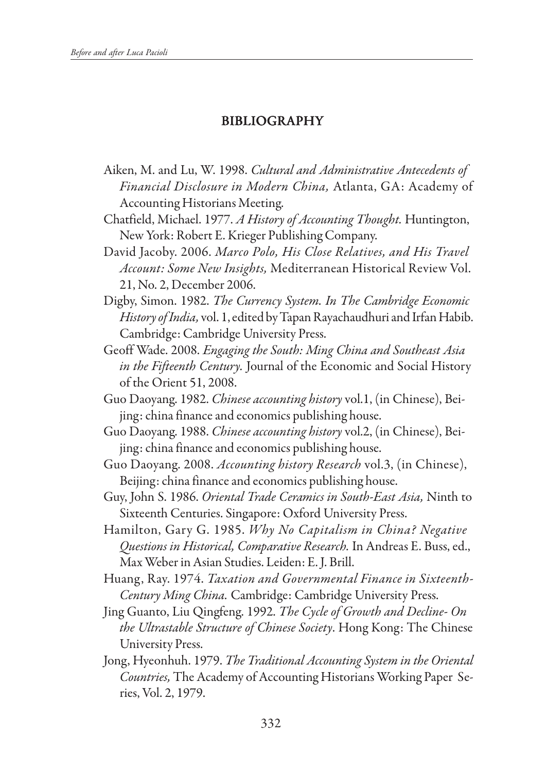# BIBLIOGRAPHY

- Aiken, M. and Lu, W. 1998. *Cultural and Administrative Antecedents of Financial Disclosure in Modern China,* Atlanta, GA: Academy of Accounting Historians Meeting.
- Chatfield, Michael. 1977. *A History of Accounting Thought.* Huntington, New York: Robert E. Krieger Publishing Company.
- David Jacoby. 2006. *Marco Polo, His Close Relatives, and His Travel Account: Some New Insights,* Mediterranean Historical Review Vol. 21, No. 2, December 2006.
- Digby, Simon. 1982. *The Currency System. In The Cambridge Economic History of India,* vol. 1, edited by Tapan Rayachaudhuri and Irfan Habib. Cambridge: Cambridge University Press.
- Geoff Wade. 2008. *Engaging the South: Ming China and Southeast Asia in the Fifteenth Century.* Journal of the Economic and Social History of the Orient 51, 2008.
- Guo Daoyang. 1982. *Chinese accounting history* vol.1, (in Chinese), Beijing: china finance and economics publishing house.
- Guo Daoyang. 1988. *Chinese accounting history* vol.2, (in Chinese), Beijing: china finance and economics publishing house.
- Guo Daoyang. 2008. *Accounting history Research* vol.3, (in Chinese), Beijing: china finance and economics publishing house.
- Guy, John S. 1986. *Oriental Trade Ceramics in South-East Asia,* Ninth to Sixteenth Centuries. Singapore: Oxford University Press.
- Hamilton, Gary G. 1985. *Why No Capitalism in China? Negative Questions in Historical, Comparative Research.* In Andreas E. Buss, ed., Max Weber in Asian Studies. Leiden: E. J. Brill.
- Huang, Ray. 1974. *Taxation and Governmental Finance in Sixteenth-Century Ming China.* Cambridge: Cambridge University Press.
- Jing Guanto, Liu Qingfeng. 1992. *The Cycle of Growth and Decline- On the Ultrastable Structure of Chinese Society*. Hong Kong: The Chinese University Press.
- Jong, Hyeonhuh. 1979. *The Traditional Accounting System in the Oriental Countries,* The Academy of Accounting Historians Working Paper Series, Vol. 2, 1979.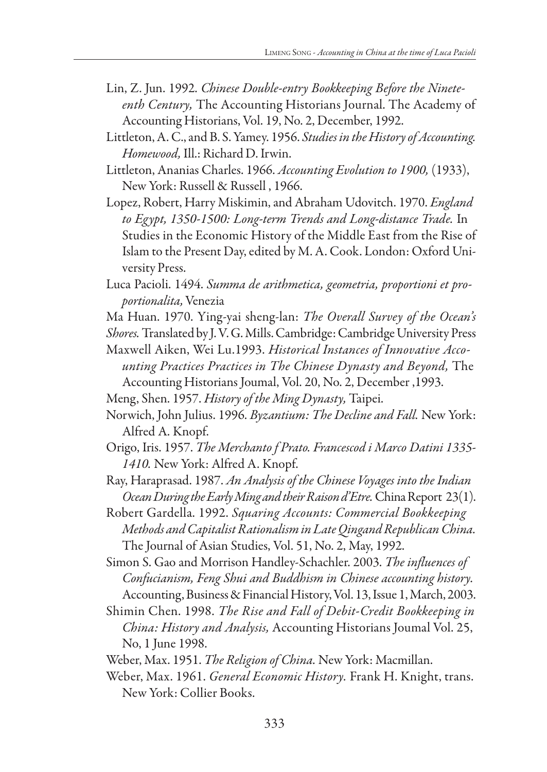- Lin, Z. Jun. 1992. *Chinese Double-entry Bookkeeping Before the Nineteenth Century,* The Accounting Historians Journal. The Academy of Accounting Historians, Vol. 19, No. 2, December, 1992.
- Littleton, A. C., and B. S. Yamey. 1956. *Studies in the History of Accounting. Homewood,* Ill.: Richard D. Irwin.
- Littleton, Ananias Charles. 1966. *Accounting Evolution to 1900,* (1933), New York: Russell & Russell , 1966.
- Lopez, Robert, Harry Miskimin, and Abraham Udovitch. 1970. *England to Egypt, 1350-1500: Long-term Trends and Long-distance Trade.* In Studies in the Economic History of the Middle East from the Rise of Islam to the Present Day, edited by M. A. Cook. London: Oxford University Press.
- Luca Pacioli. 1494. *Summa de arithmetica, geometria, proportioni et proportionalita,* Venezia
- Ma Huan. 1970. Ying-yai sheng-lan: *The Overall Survey of the Ocean's*
- *Shores.* Translated by J. V. G. Mills. Cambridge: Cambridge University Press Maxwell Aiken, Wei Lu.1993. *Historical Instances of Innovative Acco-*
- *unting Practices Practices in The Chinese Dynasty and Beyond,* The Accounting Historians Joumal, Vol. 20, No. 2, December ,1993.
- Meng, Shen. 1957. *History of the Ming Dynasty,* Taipei.
- Norwich, John Julius. 1996. *Byzantium: The Decline and Fall.* New York: Alfred A. Knopf.
- Origo, Iris. 1957. *The Merchanto f Prato. Francescod i Marco Datini 1335- 1410.* New York: Alfred A. Knopf.
- Ray, Haraprasad. 1987. *An Analysis of the Chinese Voyages into the Indian Ocean During the Early Ming and their Raison d'Etre.* China Report 23(1).
- Robert Gardella. 1992. *Squaring Accounts: Commercial Bookkeeping Methods and Capitalist Rationalism in Late Qingand Republican China.* The Journal of Asian Studies, Vol. 51, No. 2, May, 1992.
- Simon S. Gao and Morrison Handley-Schachler. 2003. *The influences of Confucianism, Feng Shui and Buddhism in Chinese accounting history.* Accounting, Business & Financial History, Vol. 13, Issue 1, March, 2003.
- Shimin Chen. 1998. *The Rise and Fall of Debit-Credit Bookkeeping in China: History and Analysis,* Accounting Historians Joumal Vol. 25, No, 1 June 1998.
- Weber, Max. 1951. *The Religion of China.* New York: Macmillan.
- Weber, Max. 1961. *General Economic History.* Frank H. Knight, trans. New York: Collier Books.